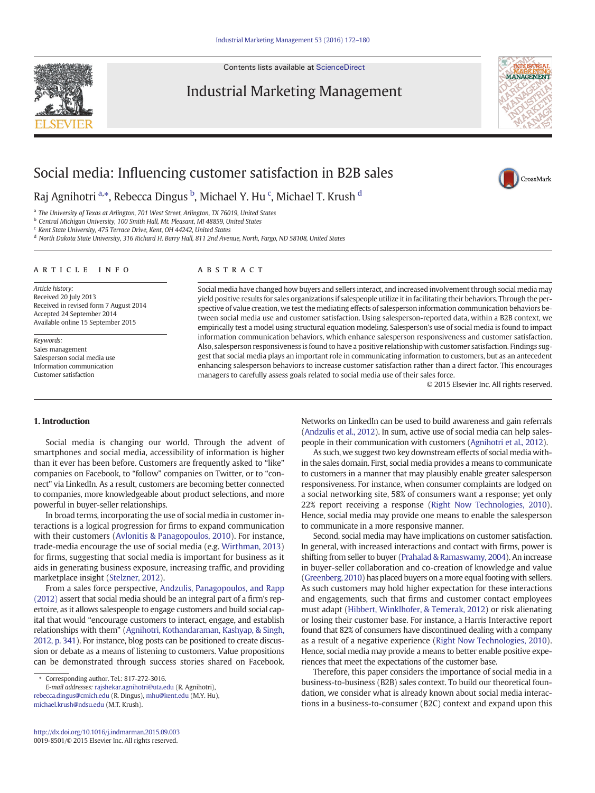Contents lists available at [ScienceDirect](http://www.sciencedirect.com/science/journal/00198501)

Industrial Marketing Management



CrossMark

# Social media: Influencing customer satisfaction in B2B sales

Raj Agnihotri <sup>a,\*</sup>, Rebecca Dingus <sup>b</sup>, Michael Y. Hu <sup>c</sup>, Michael T. Krush <sup>d</sup>

a The University of Texas at Arlington, 701 West Street, Arlington, TX 76019, United States

<sup>b</sup> Central Michigan University, 100 Smith Hall, Mt. Pleasant, MI 48859, United States

<sup>c</sup> Kent State University, 475 Terrace Drive, Kent, OH 44242, United States

<sup>d</sup> North Dakota State University, 316 Richard H. Barry Hall, 811 2nd Avenue, North, Fargo, ND 58108, United States

#### article info abstract

Article history: Received 20 July 2013 Received in revised form 7 August 2014 Accepted 24 September 2014 Available online 15 September 2015

Keywords: Sales management Salesperson social media use Information communication Customer satisfaction

Social media have changed how buyers and sellers interact, and increased involvement through social media may yield positive results for sales organizations if salespeople utilize it in facilitating their behaviors. Through the perspective of value creation, we test the mediating effects of salesperson information communication behaviors between social media use and customer satisfaction. Using salesperson-reported data, within a B2B context, we empirically test a model using structural equation modeling. Salesperson's use of social media is found to impact information communication behaviors, which enhance salesperson responsiveness and customer satisfaction. Also, salesperson responsiveness is found to have a positive relationship with customer satisfaction. Findings suggest that social media plays an important role in communicating information to customers, but as an antecedent enhancing salesperson behaviors to increase customer satisfaction rather than a direct factor. This encourages managers to carefully assess goals related to social media use of their sales force.

© 2015 Elsevier Inc. All rights reserved.

#### 1. Introduction

Social media is changing our world. Through the advent of smartphones and social media, accessibility of information is higher than it ever has been before. Customers are frequently asked to "like" companies on Facebook, to "follow" companies on Twitter, or to "connect" via LinkedIn. As a result, customers are becoming better connected to companies, more knowledgeable about product selections, and more powerful in buyer-seller relationships.

In broad terms, incorporating the use of social media in customer interactions is a logical progression for firms to expand communication with their customers ([Avlonitis & Panagopoulos, 2010](#page-7-0)). For instance, trade-media encourage the use of social media (e.g. [Wirthman, 2013](#page-8-0)) for firms, suggesting that social media is important for business as it aids in generating business exposure, increasing traffic, and providing marketplace insight ([Stelzner, 2012](#page-8-0)).

From a sales force perspective, [Andzulis, Panagopoulos, and Rapp](#page-7-0) [\(2012\)](#page-7-0) assert that social media should be an integral part of a firm's repertoire, as it allows salespeople to engage customers and build social capital that would "encourage customers to interact, engage, and establish relationships with them" [\(Agnihotri, Kothandaraman, Kashyap, & Singh,](#page-7-0) [2012, p. 341](#page-7-0)). For instance, blog posts can be positioned to create discussion or debate as a means of listening to customers. Value propositions can be demonstrated through success stories shared on Facebook.

⁎ Corresponding author. Tel.: 817-272-3016.

E-mail addresses: <rajshekar.agnihotri@uta.edu> (R. Agnihotri), <rebecca.dingus@cmich.edu> (R. Dingus), <mhu@kent.edu> (M.Y. Hu), <michael.krush@ndsu.edu> (M.T. Krush).

Networks on LinkedIn can be used to build awareness and gain referrals [\(Andzulis et al., 2012](#page-7-0)). In sum, active use of social media can help salespeople in their communication with customers [\(Agnihotri et al., 2012\)](#page-7-0).

As such, we suggest two key downstream effects of social media within the sales domain. First, social media provides a means to communicate to customers in a manner that may plausibly enable greater salesperson responsiveness. For instance, when consumer complaints are lodged on a social networking site, 58% of consumers want a response; yet only 22% report receiving a response ([Right Now Technologies, 2010](#page-8-0)). Hence, social media may provide one means to enable the salesperson to communicate in a more responsive manner.

Second, social media may have implications on customer satisfaction. In general, with increased interactions and contact with firms, power is shifting from seller to buyer [\(Prahalad & Ramaswamy, 2004](#page-7-0)). An increase in buyer-seller collaboration and co-creation of knowledge and value [\(Greenberg, 2010](#page-7-0)) has placed buyers on a more equal footing with sellers. As such customers may hold higher expectation for these interactions and engagements, such that firms and customer contact employees must adapt [\(Hibbert, Winklhofer, & Temerak, 2012\)](#page-7-0) or risk alienating or losing their customer base. For instance, a Harris Interactive report found that 82% of consumers have discontinued dealing with a company as a result of a negative experience ([Right Now Technologies, 2010](#page-8-0)). Hence, social media may provide a means to better enable positive experiences that meet the expectations of the customer base.

Therefore, this paper considers the importance of social media in a business-to-business (B2B) sales context. To build our theoretical foundation, we consider what is already known about social media interactions in a business-to-consumer (B2C) context and expand upon this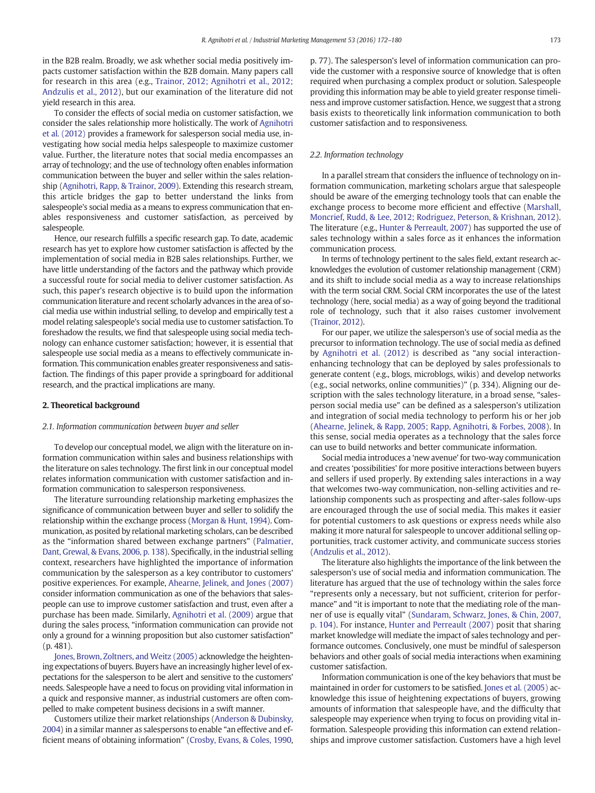in the B2B realm. Broadly, we ask whether social media positively impacts customer satisfaction within the B2B domain. Many papers call for research in this area (e.g., [Trainor, 2012; Agnihotri et al., 2012;](#page-8-0) [Andzulis et al., 2012](#page-8-0)), but our examination of the literature did not yield research in this area.

To consider the effects of social media on customer satisfaction, we consider the sales relationship more holistically. The work of [Agnihotri](#page-7-0) [et al. \(2012\)](#page-7-0) provides a framework for salesperson social media use, investigating how social media helps salespeople to maximize customer value. Further, the literature notes that social media encompasses an array of technology; and the use of technology often enables information communication between the buyer and seller within the sales relationship ([Agnihotri, Rapp, & Trainor, 2009\)](#page-7-0). Extending this research stream, this article bridges the gap to better understand the links from salespeople's social media as a means to express communication that enables responsiveness and customer satisfaction, as perceived by salespeople.

Hence, our research fulfills a specific research gap. To date, academic research has yet to explore how customer satisfaction is affected by the implementation of social media in B2B sales relationships. Further, we have little understanding of the factors and the pathway which provide a successful route for social media to deliver customer satisfaction. As such, this paper's research objective is to build upon the information communication literature and recent scholarly advances in the area of social media use within industrial selling, to develop and empirically test a model relating salespeople's social media use to customer satisfaction. To foreshadow the results, we find that salespeople using social media technology can enhance customer satisfaction; however, it is essential that salespeople use social media as a means to effectively communicate information. This communication enables greater responsiveness and satisfaction. The findings of this paper provide a springboard for additional research, and the practical implications are many.

#### 2. Theoretical background

#### 2.1. Information communication between buyer and seller

To develop our conceptual model, we align with the literature on information communication within sales and business relationships with the literature on sales technology. The first link in our conceptual model relates information communication with customer satisfaction and information communication to salesperson responsiveness.

The literature surrounding relationship marketing emphasizes the significance of communication between buyer and seller to solidify the relationship within the exchange process ([Morgan & Hunt, 1994](#page-7-0)). Communication, as posited by relational marketing scholars, can be described as the "information shared between exchange partners" ([Palmatier,](#page-7-0) [Dant, Grewal, & Evans, 2006, p. 138\)](#page-7-0). Specifically, in the industrial selling context, researchers have highlighted the importance of information communication by the salesperson as a key contributor to customers' positive experiences. For example, [Ahearne, Jelinek, and Jones \(2007\)](#page-7-0) consider information communication as one of the behaviors that salespeople can use to improve customer satisfaction and trust, even after a purchase has been made. Similarly, [Agnihotri et al. \(2009\)](#page-7-0) argue that during the sales process, "information communication can provide not only a ground for a winning proposition but also customer satisfaction" (p. 481).

[Jones, Brown, Zoltners, and Weitz \(2005\)](#page-7-0) acknowledge the heightening expectations of buyers. Buyers have an increasingly higher level of expectations for the salesperson to be alert and sensitive to the customers' needs. Salespeople have a need to focus on providing vital information in a quick and responsive manner, as industrial customers are often compelled to make competent business decisions in a swift manner.

Customers utilize their market relationships [\(Anderson & Dubinsky,](#page-7-0) [2004](#page-7-0)) in a similar manner as salespersons to enable "an effective and efficient means of obtaining information" [\(Crosby, Evans, & Coles, 1990,](#page-7-0) p. 77). The salesperson's level of information communication can provide the customer with a responsive source of knowledge that is often required when purchasing a complex product or solution. Salespeople providing this information may be able to yield greater response timeliness and improve customer satisfaction. Hence, we suggest that a strong basis exists to theoretically link information communication to both customer satisfaction and to responsiveness.

### 2.2. Information technology

In a parallel stream that considers the influence of technology on information communication, marketing scholars argue that salespeople should be aware of the emerging technology tools that can enable the exchange process to become more efficient and effective ([Marshall,](#page-7-0) [Moncrief, Rudd, & Lee, 2012; Rodriguez, Peterson, & Krishnan, 2012](#page-7-0)). The literature (e.g., [Hunter & Perreault, 2007\)](#page-7-0) has supported the use of sales technology within a sales force as it enhances the information communication process.

In terms of technology pertinent to the sales field, extant research acknowledges the evolution of customer relationship management (CRM) and its shift to include social media as a way to increase relationships with the term social CRM. Social CRM incorporates the use of the latest technology (here, social media) as a way of going beyond the traditional role of technology, such that it also raises customer involvement [\(Trainor, 2012](#page-8-0)).

For our paper, we utilize the salesperson's use of social media as the precursor to information technology. The use of social media as defined by [Agnihotri et al. \(2012\)](#page-7-0) is described as "any social interactionenhancing technology that can be deployed by sales professionals to generate content (e.g., blogs, microblogs, wikis) and develop networks (e.g., social networks, online communities)" (p. 334). Aligning our description with the sales technology literature, in a broad sense, "salesperson social media use" can be defined as a salesperson's utilization and integration of social media technology to perform his or her job [\(Ahearne, Jelinek, & Rapp, 2005; Rapp, Agnihotri, & Forbes, 2008\)](#page-7-0). In this sense, social media operates as a technology that the sales force can use to build networks and better communicate information.

Social media introduces a 'new avenue' for two-way communication and creates 'possibilities' for more positive interactions between buyers and sellers if used properly. By extending sales interactions in a way that welcomes two-way communication, non-selling activities and relationship components such as prospecting and after-sales follow-ups are encouraged through the use of social media. This makes it easier for potential customers to ask questions or express needs while also making it more natural for salespeople to uncover additional selling opportunities, track customer activity, and communicate success stories [\(Andzulis et al., 2012\)](#page-7-0).

The literature also highlights the importance of the link between the salesperson's use of social media and information communication. The literature has argued that the use of technology within the sales force "represents only a necessary, but not sufficient, criterion for performance" and "it is important to note that the mediating role of the manner of use is equally vital" [\(Sundaram, Schwarz, Jones, & Chin, 2007,](#page-8-0) [p. 104](#page-8-0)). For instance, [Hunter and Perreault \(2007\)](#page-7-0) posit that sharing market knowledge will mediate the impact of sales technology and performance outcomes. Conclusively, one must be mindful of salesperson behaviors and other goals of social media interactions when examining customer satisfaction.

Information communication is one of the key behaviors that must be maintained in order for customers to be satisfied. [Jones et al. \(2005\)](#page-7-0) acknowledge this issue of heightening expectations of buyers, growing amounts of information that salespeople have, and the difficulty that salespeople may experience when trying to focus on providing vital information. Salespeople providing this information can extend relationships and improve customer satisfaction. Customers have a high level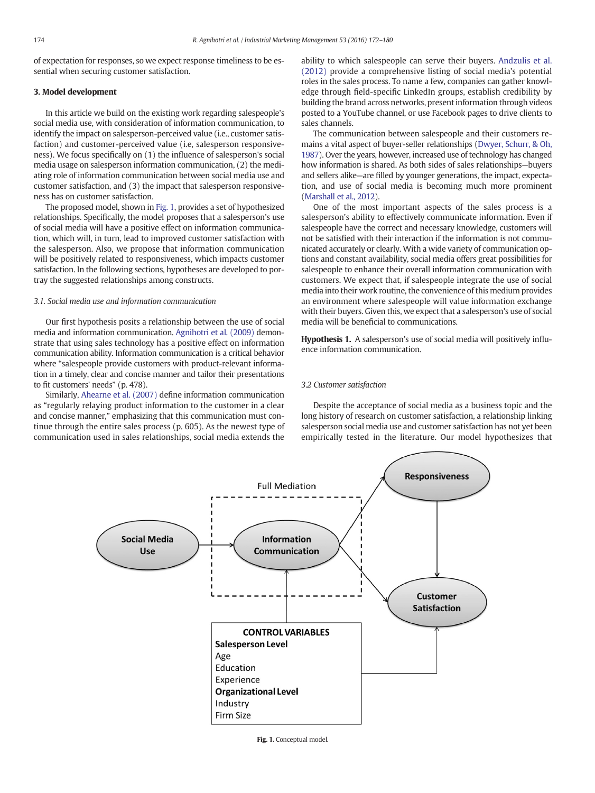of expectation for responses, so we expect response timeliness to be essential when securing customer satisfaction.

### 3. Model development

In this article we build on the existing work regarding salespeople's social media use, with consideration of information communication, to identify the impact on salesperson-perceived value (i.e., customer satisfaction) and customer-perceived value (i.e, salesperson responsiveness). We focus specifically on (1) the influence of salesperson's social media usage on salesperson information communication, (2) the mediating role of information communication between social media use and customer satisfaction, and (3) the impact that salesperson responsiveness has on customer satisfaction.

The proposed model, shown in Fig. 1, provides a set of hypothesized relationships. Specifically, the model proposes that a salesperson's use of social media will have a positive effect on information communication, which will, in turn, lead to improved customer satisfaction with the salesperson. Also, we propose that information communication will be positively related to responsiveness, which impacts customer satisfaction. In the following sections, hypotheses are developed to portray the suggested relationships among constructs.

### 3.1. Social media use and information communication

Our first hypothesis posits a relationship between the use of social media and information communication. [Agnihotri et al. \(2009\)](#page-7-0) demonstrate that using sales technology has a positive effect on information communication ability. Information communication is a critical behavior where "salespeople provide customers with product-relevant information in a timely, clear and concise manner and tailor their presentations to fit customers' needs" (p. 478).

Similarly, [Ahearne et al. \(2007\)](#page-7-0) define information communication as "regularly relaying product information to the customer in a clear and concise manner," emphasizing that this communication must continue through the entire sales process (p. 605). As the newest type of communication used in sales relationships, social media extends the

ability to which salespeople can serve their buyers. [Andzulis et al.](#page-7-0) [\(2012\)](#page-7-0) provide a comprehensive listing of social media's potential roles in the sales process. To name a few, companies can gather knowledge through field-specific LinkedIn groups, establish credibility by building the brand across networks, present information through videos posted to a YouTube channel, or use Facebook pages to drive clients to sales channels.

The communication between salespeople and their customers remains a vital aspect of buyer-seller relationships ([Dwyer, Schurr, & Oh,](#page-7-0) [1987](#page-7-0)). Over the years, however, increased use of technology has changed how information is shared. As both sides of sales relationships—buyers and sellers alike—are filled by younger generations, the impact, expectation, and use of social media is becoming much more prominent [\(Marshall et al., 2012](#page-7-0)).

One of the most important aspects of the sales process is a salesperson's ability to effectively communicate information. Even if salespeople have the correct and necessary knowledge, customers will not be satisfied with their interaction if the information is not communicated accurately or clearly. With a wide variety of communication options and constant availability, social media offers great possibilities for salespeople to enhance their overall information communication with customers. We expect that, if salespeople integrate the use of social media into their work routine, the convenience of this medium provides an environment where salespeople will value information exchange with their buyers. Given this, we expect that a salesperson's use of social media will be beneficial to communications.

Hypothesis 1. A salesperson's use of social media will positively influence information communication.

#### 3.2 Customer satisfaction

Despite the acceptance of social media as a business topic and the long history of research on customer satisfaction, a relationship linking salesperson social media use and customer satisfaction has not yet been empirically tested in the literature. Our model hypothesizes that



Fig. 1. Conceptual model.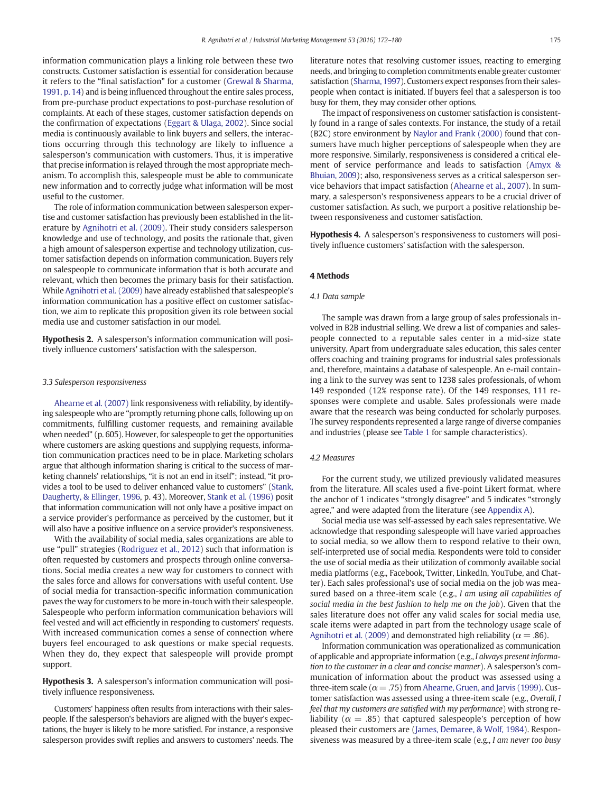information communication plays a linking role between these two constructs. Customer satisfaction is essential for consideration because it refers to the "final satisfaction" for a customer [\(Grewal & Sharma,](#page-7-0) [1991, p. 14\)](#page-7-0) and is being influenced throughout the entire sales process, from pre-purchase product expectations to post-purchase resolution of complaints. At each of these stages, customer satisfaction depends on the confirmation of expectations ([Eggart & Ulaga, 2002\)](#page-7-0). Since social media is continuously available to link buyers and sellers, the interactions occurring through this technology are likely to influence a salesperson's communication with customers. Thus, it is imperative that precise information is relayed through the most appropriate mechanism. To accomplish this, salespeople must be able to communicate new information and to correctly judge what information will be most useful to the customer.

The role of information communication between salesperson expertise and customer satisfaction has previously been established in the literature by [Agnihotri et al. \(2009\)](#page-7-0). Their study considers salesperson knowledge and use of technology, and posits the rationale that, given a high amount of salesperson expertise and technology utilization, customer satisfaction depends on information communication. Buyers rely on salespeople to communicate information that is both accurate and relevant, which then becomes the primary basis for their satisfaction. While [Agnihotri et al. \(2009\)](#page-7-0) have already established that salespeople's information communication has a positive effect on customer satisfaction, we aim to replicate this proposition given its role between social media use and customer satisfaction in our model.

Hypothesis 2. A salesperson's information communication will positively influence customers' satisfaction with the salesperson.

#### 3.3 Salesperson responsiveness

[Ahearne et al. \(2007\)](#page-7-0) link responsiveness with reliability, by identifying salespeople who are "promptly returning phone calls, following up on commitments, fulfilling customer requests, and remaining available when needed" (p. 605). However, for salespeople to get the opportunities where customers are asking questions and supplying requests, information communication practices need to be in place. Marketing scholars argue that although information sharing is critical to the success of marketing channels' relationships, "it is not an end in itself"; instead, "it provides a tool to be used to deliver enhanced value to customers" [\(Stank,](#page-8-0) [Daugherty, & Ellinger, 1996](#page-8-0), p. 43). Moreover, [Stank et al. \(1996\)](#page-8-0) posit that information communication will not only have a positive impact on a service provider's performance as perceived by the customer, but it will also have a positive influence on a service provider's responsiveness.

With the availability of social media, sales organizations are able to use "pull" strategies [\(Rodriguez et al., 2012](#page-8-0)) such that information is often requested by customers and prospects through online conversations. Social media creates a new way for customers to connect with the sales force and allows for conversations with useful content. Use of social media for transaction-specific information communication paves the way for customers to be more in-touch with their salespeople. Salespeople who perform information communication behaviors will feel vested and will act efficiently in responding to customers' requests. With increased communication comes a sense of connection where buyers feel encouraged to ask questions or make special requests. When they do, they expect that salespeople will provide prompt support.

Hypothesis 3. A salesperson's information communication will positively influence responsiveness.

Customers' happiness often results from interactions with their salespeople. If the salesperson's behaviors are aligned with the buyer's expectations, the buyer is likely to be more satisfied. For instance, a responsive salesperson provides swift replies and answers to customers' needs. The literature notes that resolving customer issues, reacting to emerging needs, and bringing to completion commitments enable greater customer satisfaction [\(Sharma, 1997\)](#page-8-0). Customers expect responses from their salespeople when contact is initiated. If buyers feel that a salesperson is too busy for them, they may consider other options.

The impact of responsiveness on customer satisfaction is consistently found in a range of sales contexts. For instance, the study of a retail (B2C) store environment by [Naylor and Frank \(2000\)](#page-7-0) found that consumers have much higher perceptions of salespeople when they are more responsive. Similarly, responsiveness is considered a critical element of service performance and leads to satisfaction [\(Amyx &](#page-7-0) [Bhuian, 2009\)](#page-7-0); also, responsiveness serves as a critical salesperson service behaviors that impact satisfaction [\(Ahearne et al., 2007](#page-7-0)). In summary, a salesperson's responsiveness appears to be a crucial driver of customer satisfaction. As such, we purport a positive relationship between responsiveness and customer satisfaction.

Hypothesis 4. A salesperson's responsiveness to customers will positively influence customers' satisfaction with the salesperson.

#### 4 Methods

## 4.1 Data sample

The sample was drawn from a large group of sales professionals involved in B2B industrial selling. We drew a list of companies and salespeople connected to a reputable sales center in a mid-size state university. Apart from undergraduate sales education, this sales center offers coaching and training programs for industrial sales professionals and, therefore, maintains a database of salespeople. An e-mail containing a link to the survey was sent to 1238 sales professionals, of whom 149 responded (12% response rate). Of the 149 responses, 111 responses were complete and usable. Sales professionals were made aware that the research was being conducted for scholarly purposes. The survey respondents represented a large range of diverse companies and industries (please see [Table 1](#page-4-0) for sample characteristics).

#### 4.2 Measures

For the current study, we utilized previously validated measures from the literature. All scales used a five-point Likert format, where the anchor of 1 indicates "strongly disagree" and 5 indicates "strongly agree," and were adapted from the literature (see [Appendix A\)](#page-7-0).

Social media use was self-assessed by each sales representative. We acknowledge that responding salespeople will have varied approaches to social media, so we allow them to respond relative to their own, self-interpreted use of social media. Respondents were told to consider the use of social media as their utilization of commonly available social media platforms (e.g., Facebook, Twitter, LinkedIn, YouTube, and Chatter). Each sales professional's use of social media on the job was measured based on a three-item scale (e.g., I am using all capabilities of social media in the best fashion to help me on the job). Given that the sales literature does not offer any valid scales for social media use, scale items were adapted in part from the technology usage scale of [Agnihotri et al. \(2009\)](#page-7-0) and demonstrated high reliability ( $\alpha = .86$ ).

Information communication was operationalized as communication of applicable and appropriate information (e.g., I always present information to the customer in a clear and concise manner). A salesperson's communication of information about the product was assessed using a three-item scale ( $\alpha = .75$ ) from [Ahearne, Gruen, and Jarvis \(1999\)](#page-7-0). Customer satisfaction was assessed using a three-item scale (e.g., Overall, I feel that my customers are satisfied with my performance) with strong reliability ( $\alpha = .85$ ) that captured salespeople's perception of how pleased their customers are ([James, Demaree, & Wolf, 1984\)](#page-7-0). Responsiveness was measured by a three-item scale (e.g., I am never too busy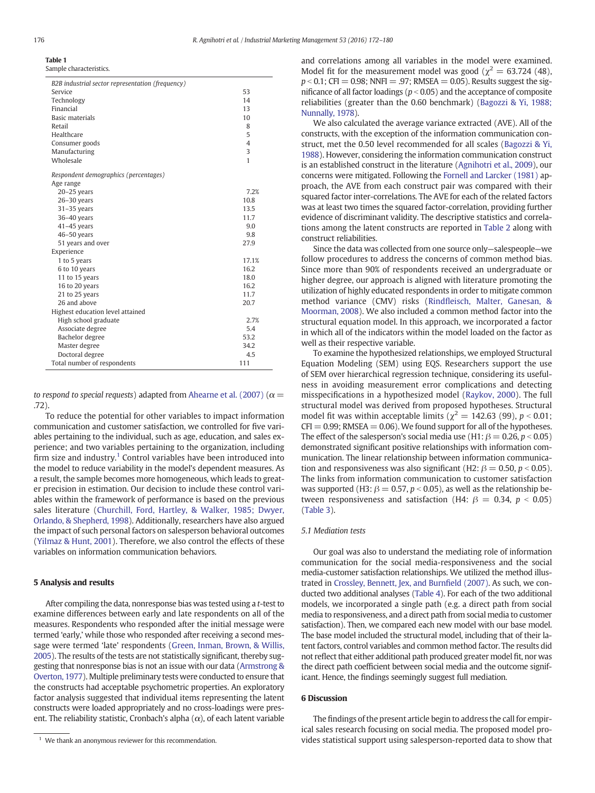<span id="page-4-0"></span>

| 176 | R. Agnihotri et al. / Industrial Marketing Management 53 (2016) 172-180 |  |
|-----|-------------------------------------------------------------------------|--|
|-----|-------------------------------------------------------------------------|--|

#### Table 1 Sample characteristics.

| B2B industrial sector representation (frequency) |                |
|--------------------------------------------------|----------------|
| Service                                          | 53             |
| Technology                                       | 14             |
| Financial                                        | 13             |
| Basic materials                                  | 10             |
| Retail                                           | 8              |
| Healthcare                                       | 5              |
| Consumer goods                                   | $\overline{4}$ |
| Manufacturing                                    | 3              |
| Wholesale                                        | 1              |
|                                                  |                |
| Respondent demographics (percentages)            |                |
| Age range                                        | 7.2%           |
| $20-25$ years                                    | 10.8           |
| $26-30$ years                                    | 13.5           |
| $31-35$ years                                    | 11.7           |
| $36-40$ years                                    | 9.0            |
| $41-45$ years                                    | 9.8            |
| $46-50$ years                                    | 27.9           |
| 51 years and over                                |                |
| Experience                                       | 17.1%          |
| 1 to 5 years                                     | 16.2           |
| 6 to 10 years                                    |                |
| 11 to 15 years                                   | 18.0<br>16.2   |
| 16 to 20 years                                   |                |
| 21 to 25 years                                   | 11.7           |
| 26 and above                                     | 20.7           |
| Highest education level attained                 |                |
| High school graduate                             | 2.7%           |
| Associate degree                                 | 5.4            |
| Bachelor degree                                  | 53.2           |
| Master degree                                    | 34.2           |
| Doctoral degree                                  | 4.5            |
| Total number of respondents                      | 111            |

to respond to special requests) adapted from [Ahearne et al. \(2007\)](#page-7-0) ( $\alpha$  = .72).

To reduce the potential for other variables to impact information communication and customer satisfaction, we controlled for five variables pertaining to the individual, such as age, education, and sales experience; and two variables pertaining to the organization, including firm size and industry.<sup>1</sup> Control variables have been introduced into the model to reduce variability in the model's dependent measures. As a result, the sample becomes more homogeneous, which leads to greater precision in estimation. Our decision to include these control variables within the framework of performance is based on the previous sales literature [\(Churchill, Ford, Hartley, & Walker, 1985; Dwyer,](#page-7-0) [Orlando, & Shepherd, 1998\)](#page-7-0). Additionally, researchers have also argued the impact of such personal factors on salesperson behavioral outcomes [\(Yilmaz & Hunt, 2001](#page-8-0)). Therefore, we also control the effects of these variables on information communication behaviors.

### 5 Analysis and results

After compiling the data, nonresponse bias was tested using a t-test to examine differences between early and late respondents on all of the measures. Respondents who responded after the initial message were termed 'early,' while those who responded after receiving a second message were termed 'late' respondents [\(Green, Inman, Brown, & Willis,](#page-7-0) [2005](#page-7-0)). The results of the tests are not statistically significant, thereby suggesting that nonresponse bias is not an issue with our data [\(Armstrong &](#page-7-0) [Overton, 1977\)](#page-7-0). Multiple preliminary tests were conducted to ensure that the constructs had acceptable psychometric properties. An exploratory factor analysis suggested that individual items representing the latent constructs were loaded appropriately and no cross-loadings were present. The reliability statistic, Cronbach's alpha  $(\alpha)$ , of each latent variable and correlations among all variables in the model were examined. Model fit for the measurement model was good ( $\chi^2 = 63.724$  (48),  $p < 0.1$ ; CFI = 0.98; NNFI = .97; RMSEA = 0.05). Results suggest the significance of all factor loadings ( $p < 0.05$ ) and the acceptance of composite reliabilities (greater than the 0.60 benchmark) ([Bagozzi & Yi, 1988;](#page-7-0) [Nunnally, 1978\)](#page-7-0).

We also calculated the average variance extracted (AVE). All of the constructs, with the exception of the information communication construct, met the 0.50 level recommended for all scales ([Bagozzi & Yi,](#page-7-0) [1988\)](#page-7-0). However, considering the information communication construct is an established construct in the literature [\(Agnihotri et al., 2009](#page-7-0)), our concerns were mitigated. Following the [Fornell and Larcker \(1981\)](#page-7-0) approach, the AVE from each construct pair was compared with their squared factor inter-correlations. The AVE for each of the related factors was at least two times the squared factor-correlation, providing further evidence of discriminant validity. The descriptive statistics and correlations among the latent constructs are reported in [Table 2](#page-5-0) along with construct reliabilities.

Since the data was collected from one source only—salespeople—we follow procedures to address the concerns of common method bias. Since more than 90% of respondents received an undergraduate or higher degree, our approach is aligned with literature promoting the utilization of highly educated respondents in order to mitigate common method variance (CMV) risks (Rindfl[eisch, Malter, Ganesan, &](#page-8-0) [Moorman, 2008](#page-8-0)). We also included a common method factor into the structural equation model. In this approach, we incorporated a factor in which all of the indicators within the model loaded on the factor as well as their respective variable.

To examine the hypothesized relationships, we employed Structural Equation Modeling (SEM) using EQS. Researchers support the use of SEM over hierarchical regression technique, considering its usefulness in avoiding measurement error complications and detecting misspecifications in a hypothesized model [\(Raykov, 2000](#page-8-0)). The full structural model was derived from proposed hypotheses. Structural model fit was within acceptable limits ( $\chi^2 = 142.63$  (99),  $p < 0.01$ ;  $CFI = 0.99$ ; RMSEA = 0.06). We found support for all of the hypotheses. The effect of the salesperson's social media use (H1:  $\beta = 0.26$ ,  $p < 0.05$ ) demonstrated significant positive relationships with information communication. The linear relationship between information communication and responsiveness was also significant (H2:  $\beta = 0.50$ ,  $p < 0.05$ ). The links from information communication to customer satisfaction was supported (H3:  $\beta = 0.57$ ,  $p < 0.05$ ), as well as the relationship between responsiveness and satisfaction (H4:  $\beta = 0.34$ ,  $p < 0.05$ ) [\(Table 3\)](#page-5-0).

#### 5.1 Mediation tests

Our goal was also to understand the mediating role of information communication for the social media-responsiveness and the social media-customer satisfaction relationships. We utilized the method illustrated in [Crossley, Bennett, Jex, and Burn](#page-7-0)field (2007). As such, we conducted two additional analyses ([Table 4\)](#page-6-0). For each of the two additional models, we incorporated a single path (e.g. a direct path from social media to responsiveness, and a direct path from social media to customer satisfaction). Then, we compared each new model with our base model. The base model included the structural model, including that of their latent factors, control variables and common method factor. The results did not reflect that either additional path produced greater model fit, nor was the direct path coefficient between social media and the outcome significant. Hence, the findings seemingly suggest full mediation.

# 6 Discussion

The findings of the present article begin to address the call for empirical sales research focusing on social media. The proposed model provides statistical support using salesperson-reported data to show that

 $1$  We thank an anonymous reviewer for this recommendation.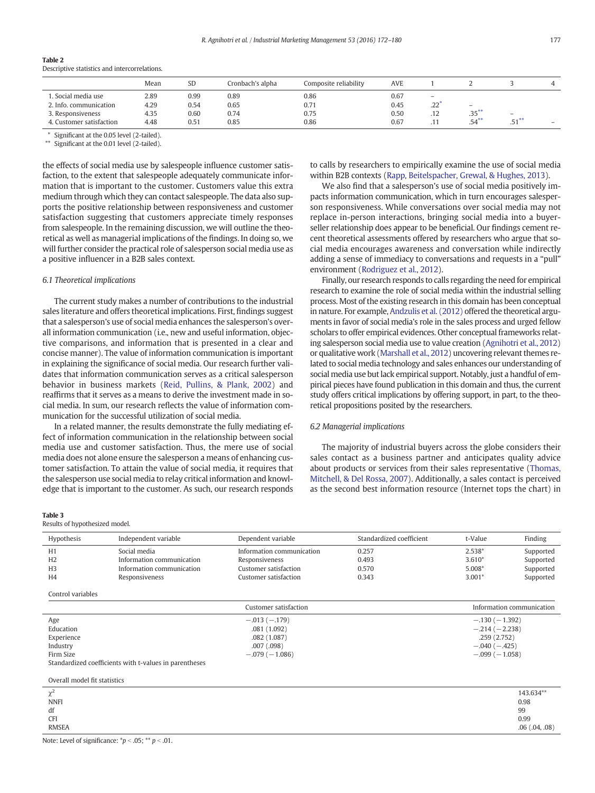<span id="page-5-0"></span>

| Table 2                                       |  |
|-----------------------------------------------|--|
| Descriptive statistics and intercorrelations. |  |

|                          | Mean | <b>SD</b> | Cronbach's alpha | Composite reliability | AVE  |                   |                   |                          |                          |
|--------------------------|------|-----------|------------------|-----------------------|------|-------------------|-------------------|--------------------------|--------------------------|
| . . Social media use     | 2.89 | 0.99      | 0.89             | 0.86                  | 0.67 | $\qquad \qquad -$ |                   |                          |                          |
| 2. Info. communication   | 4.29 | 0.54      | 0.65             | 0.71                  | 0.45 | .22               | $\qquad \qquad -$ |                          |                          |
| 3. Responsiveness        | 4.35 | 0.60      | 0.74             | 0.75                  | 0.50 | .12               | $.35***$          | $\overline{\phantom{0}}$ |                          |
| 4. Customer satisfaction | 4.48 | 0.51      | 0.85             | 0.86                  | 0.67 | .11               | $.54***$          | $51***$<br>، ب           | $\overline{\phantom{0}}$ |

Significant at the 0.05 level (2-tailed).

Significant at the 0.01 level (2-tailed).

the effects of social media use by salespeople influence customer satisfaction, to the extent that salespeople adequately communicate information that is important to the customer. Customers value this extra medium through which they can contact salespeople. The data also supports the positive relationship between responsiveness and customer satisfaction suggesting that customers appreciate timely responses from salespeople. In the remaining discussion, we will outline the theoretical as well as managerial implications of the findings. In doing so, we will further consider the practical role of salesperson social media use as a positive influencer in a B2B sales context.

#### 6.1 Theoretical implications

The current study makes a number of contributions to the industrial sales literature and offers theoretical implications. First, findings suggest that a salesperson's use of social media enhances the salesperson's overall information communication (i.e., new and useful information, objective comparisons, and information that is presented in a clear and concise manner). The value of information communication is important in explaining the significance of social media. Our research further validates that information communication serves as a critical salesperson behavior in business markets ([Reid, Pullins, & Plank, 2002](#page-8-0)) and reaffirms that it serves as a means to derive the investment made in social media. In sum, our research reflects the value of information communication for the successful utilization of social media.

In a related manner, the results demonstrate the fully mediating effect of information communication in the relationship between social media use and customer satisfaction. Thus, the mere use of social media does not alone ensure the salesperson a means of enhancing customer satisfaction. To attain the value of social media, it requires that the salesperson use social media to relay critical information and knowledge that is important to the customer. As such, our research responds

#### Table 3

Results of hypothesized model.

| to calls by researchers to empirically examine the use of social media |
|------------------------------------------------------------------------|
| within B2B contexts (Rapp, Beitelspacher, Grewal, & Hughes, 2013).     |

We also find that a salesperson's use of social media positively impacts information communication, which in turn encourages salesperson responsiveness. While conversations over social media may not replace in-person interactions, bringing social media into a buyerseller relationship does appear to be beneficial. Our findings cement recent theoretical assessments offered by researchers who argue that social media encourages awareness and conversation while indirectly adding a sense of immediacy to conversations and requests in a "pull" environment [\(Rodriguez et al., 2012\)](#page-8-0).

Finally, our research responds to calls regarding the need for empirical research to examine the role of social media within the industrial selling process. Most of the existing research in this domain has been conceptual in nature. For example, [Andzulis et al. \(2012\)](#page-7-0) offered the theoretical arguments in favor of social media's role in the sales process and urged fellow scholars to offer empirical evidences. Other conceptual frameworks relating salesperson social media use to value creation [\(Agnihotri et al., 2012](#page-7-0)) or qualitative work ([Marshall et al., 2012\)](#page-7-0) uncovering relevant themes related to social media technology and sales enhances our understanding of social media use but lack empirical support. Notably, just a handful of empirical pieces have found publication in this domain and thus, the current study offers critical implications by offering support, in part, to the theoretical propositions posited by the researchers.

# 6.2 Managerial implications

The majority of industrial buyers across the globe considers their sales contact as a business partner and anticipates quality advice about products or services from their sales representative ([Thomas,](#page-8-0) [Mitchell, & Del Rossa, 2007](#page-8-0)). Additionally, a sales contact is perceived as the second best information resource (Internet tops the chart) in

| Hypothesis                   | Independent variable                                    | Dependent variable        | Standardized coefficient | t-Value         | Finding                   |
|------------------------------|---------------------------------------------------------|---------------------------|--------------------------|-----------------|---------------------------|
| H1                           | Social media                                            | Information communication | 0.257                    | $2.538*$        | Supported                 |
| H <sub>2</sub>               | Information communication                               | Responsiveness            | 0.493                    | $3.610*$        | Supported                 |
| H <sub>3</sub>               | Information communication                               | Customer satisfaction     | 0.570                    | $5.008*$        | Supported                 |
| H <sub>4</sub>               | Responsiveness                                          | Customer satisfaction     | 0.343                    | $3.001*$        | Supported                 |
| Control variables            |                                                         |                           |                          |                 |                           |
|                              |                                                         | Customer satisfaction     |                          |                 | Information communication |
| Age                          |                                                         | $-.013(-.179)$            |                          | $-.130(-1.392)$ |                           |
| Education                    |                                                         | .081(1.092)               |                          | $-.214(-2.238)$ |                           |
| Experience                   |                                                         | .082(1.087)               |                          | .259(2.752)     |                           |
| Industry                     |                                                         | .007(.098)                |                          | $-.040(-.425)$  |                           |
| Firm Size                    |                                                         | $-.079(-1.086)$           |                          | $-.099(-1.058)$ |                           |
|                              | Standardized coefficients with t-values in parentheses  |                           |                          |                 |                           |
| Overall model fit statistics |                                                         |                           |                          |                 |                           |
| $\chi^2$                     |                                                         |                           |                          |                 | 143.634**                 |
| <b>NNFI</b>                  |                                                         |                           |                          |                 | 0.98                      |
| df                           |                                                         |                           |                          |                 | 99                        |
| <b>CFI</b>                   |                                                         |                           |                          |                 | 0.99                      |
| <b>RMSEA</b>                 |                                                         |                           |                          |                 | $.06$ $(.04, .08)$        |
|                              | Note: Level of significance: $n < .05$ : $** n < .01$ . |                           |                          |                 |                           |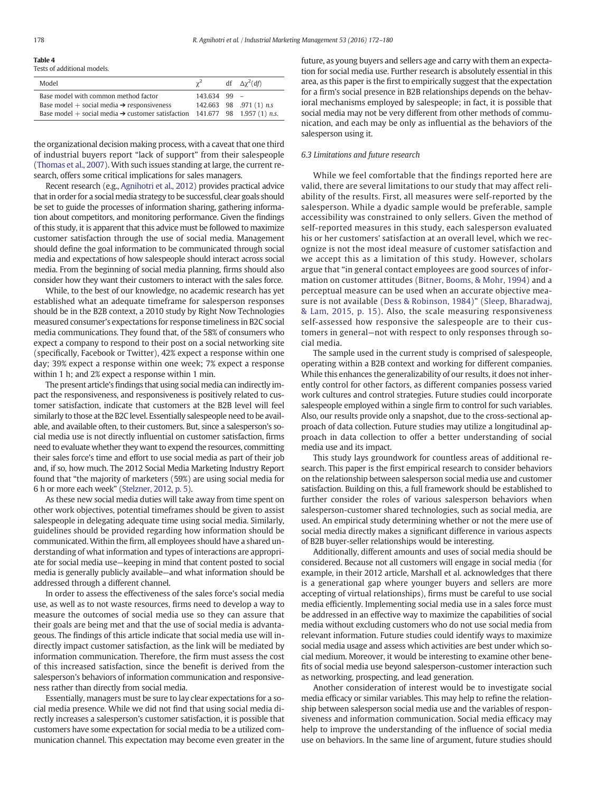# <span id="page-6-0"></span>Table 4

|  | Tests of additional models. |  |
|--|-----------------------------|--|
|--|-----------------------------|--|

| Model                                                                                                                                                                                       | $\gamma^2$     | df $\Delta \chi^2(df)$    |
|---------------------------------------------------------------------------------------------------------------------------------------------------------------------------------------------|----------------|---------------------------|
| Base model with common method factor<br>Base model $+$ social media $\rightarrow$ responsiveness<br>Base model + social media $\rightarrow$ customer satisfaction 141.677 98 1.957 (1) n.s. | $143.634$ 99 - | 142,663 98 .971 $(1)$ n.s |

the organizational decision making process, with a caveat that one third of industrial buyers report "lack of support" from their salespeople [\(Thomas et al., 2007](#page-8-0)). With such issues standing at large, the current research, offers some critical implications for sales managers.

Recent research (e.g., [Agnihotri et al., 2012\)](#page-7-0) provides practical advice that in order for a social media strategy to be successful, clear goals should be set to guide the processes of information sharing, gathering information about competitors, and monitoring performance. Given the findings of this study, it is apparent that this advice must be followed to maximize customer satisfaction through the use of social media. Management should define the goal information to be communicated through social media and expectations of how salespeople should interact across social media. From the beginning of social media planning, firms should also consider how they want their customers to interact with the sales force.

While, to the best of our knowledge, no academic research has yet established what an adequate timeframe for salesperson responses should be in the B2B context, a 2010 study by Right Now Technologies measured consumer's expectations for response timeliness in B2C social media communications. They found that, of the 58% of consumers who expect a company to respond to their post on a social networking site (specifically, Facebook or Twitter), 42% expect a response within one day; 39% expect a response within one week; 7% expect a response within 1 h; and 2% expect a response within 1 min.

The present article's findings that using social media can indirectly impact the responsiveness, and responsiveness is positively related to customer satisfaction, indicate that customers at the B2B level will feel similarly to those at the B2C level. Essentially salespeople need to be available, and available often, to their customers. But, since a salesperson's social media use is not directly influential on customer satisfaction, firms need to evaluate whether they want to expend the resources, committing their sales force's time and effort to use social media as part of their job and, if so, how much. The 2012 Social Media Marketing Industry Report found that "the majority of marketers (59%) are using social media for 6 h or more each week" [\(Stelzner, 2012, p. 5\)](#page-8-0).

As these new social media duties will take away from time spent on other work objectives, potential timeframes should be given to assist salespeople in delegating adequate time using social media. Similarly, guidelines should be provided regarding how information should be communicated. Within the firm, all employees should have a shared understanding of what information and types of interactions are appropriate for social media use—keeping in mind that content posted to social media is generally publicly available—and what information should be addressed through a different channel.

In order to assess the effectiveness of the sales force's social media use, as well as to not waste resources, firms need to develop a way to measure the outcomes of social media use so they can assure that their goals are being met and that the use of social media is advantageous. The findings of this article indicate that social media use will indirectly impact customer satisfaction, as the link will be mediated by information communication. Therefore, the firm must assess the cost of this increased satisfaction, since the benefit is derived from the salesperson's behaviors of information communication and responsiveness rather than directly from social media.

Essentially, managers must be sure to lay clear expectations for a social media presence. While we did not find that using social media directly increases a salesperson's customer satisfaction, it is possible that customers have some expectation for social media to be a utilized communication channel. This expectation may become even greater in the future, as young buyers and sellers age and carry with them an expectation for social media use. Further research is absolutely essential in this area, as this paper is the first to empirically suggest that the expectation for a firm's social presence in B2B relationships depends on the behavioral mechanisms employed by salespeople; in fact, it is possible that social media may not be very different from other methods of communication, and each may be only as influential as the behaviors of the salesperson using it.

### 6.3 Limitations and future research

While we feel comfortable that the findings reported here are valid, there are several limitations to our study that may affect reliability of the results. First, all measures were self-reported by the salesperson. While a dyadic sample would be preferable, sample accessibility was constrained to only sellers. Given the method of self-reported measures in this study, each salesperson evaluated his or her customers' satisfaction at an overall level, which we recognize is not the most ideal measure of customer satisfaction and we accept this as a limitation of this study. However, scholars argue that "in general contact employees are good sources of information on customer attitudes ([Bitner, Booms, & Mohr, 1994\)](#page-7-0) and a perceptual measure can be used when an accurate objective measure is not available [\(Dess & Robinson, 1984\)](#page-7-0)" ([Sleep, Bharadwaj,](#page-8-0) [& Lam, 2015, p. 15\)](#page-8-0). Also, the scale measuring responsiveness self-assessed how responsive the salespeople are to their customers in general—not with respect to only responses through social media.

The sample used in the current study is comprised of salespeople, operating within a B2B context and working for different companies. While this enhances the generalizability of our results, it does not inherently control for other factors, as different companies possess varied work cultures and control strategies. Future studies could incorporate salespeople employed within a single firm to control for such variables. Also, our results provide only a snapshot, due to the cross-sectional approach of data collection. Future studies may utilize a longitudinal approach in data collection to offer a better understanding of social media use and its impact.

This study lays groundwork for countless areas of additional research. This paper is the first empirical research to consider behaviors on the relationship between salesperson social media use and customer satisfaction. Building on this, a full framework should be established to further consider the roles of various salesperson behaviors when salesperson-customer shared technologies, such as social media, are used. An empirical study determining whether or not the mere use of social media directly makes a significant difference in various aspects of B2B buyer-seller relationships would be interesting.

Additionally, different amounts and uses of social media should be considered. Because not all customers will engage in social media (for example, in their 2012 article, Marshall et al. acknowledges that there is a generational gap where younger buyers and sellers are more accepting of virtual relationships), firms must be careful to use social media efficiently. Implementing social media use in a sales force must be addressed in an effective way to maximize the capabilities of social media without excluding customers who do not use social media from relevant information. Future studies could identify ways to maximize social media usage and assess which activities are best under which social medium. Moreover, it would be interesting to examine other benefits of social media use beyond salesperson-customer interaction such as networking, prospecting, and lead generation.

Another consideration of interest would be to investigate social media efficacy or similar variables. This may help to refine the relationship between salesperson social media use and the variables of responsiveness and information communication. Social media efficacy may help to improve the understanding of the influence of social media use on behaviors. In the same line of argument, future studies should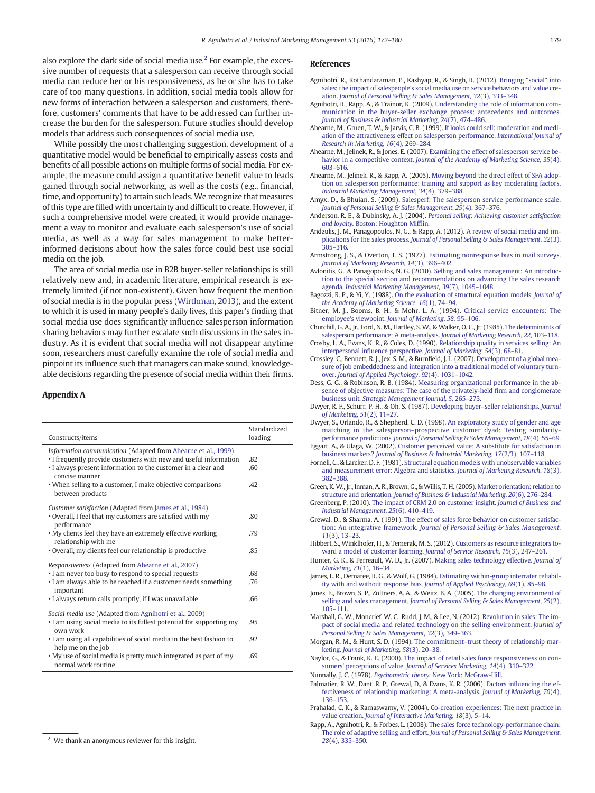<span id="page-7-0"></span>also explore the dark side of social media use. $<sup>2</sup>$  For example, the exces-</sup> sive number of requests that a salesperson can receive through social media can reduce her or his responsiveness, as he or she has to take care of too many questions. In addition, social media tools allow for new forms of interaction between a salesperson and customers, therefore, customers' comments that have to be addressed can further increase the burden for the salesperson. Future studies should develop models that address such consequences of social media use.

While possibly the most challenging suggestion, development of a quantitative model would be beneficial to empirically assess costs and benefits of all possible actions on multiple forms of social media. For example, the measure could assign a quantitative benefit value to leads gained through social networking, as well as the costs (e.g., financial, time, and opportunity) to attain such leads.We recognize that measures of this type are filled with uncertainty and difficult to create. However, if such a comprehensive model were created, it would provide management a way to monitor and evaluate each salesperson's use of social media, as well as a way for sales management to make betterinformed decisions about how the sales force could best use social media on the job.

The area of social media use in B2B buyer-seller relationships is still relatively new and, in academic literature, empirical research is extremely limited (if not non-existent). Given how frequent the mention of social media is in the popular press [\(Wirthman, 2013\)](#page-8-0), and the extent to which it is used in many people's daily lives, this paper's finding that social media use does significantly influence salesperson information sharing behaviors may further escalate such discussions in the sales industry. As it is evident that social media will not disappear anytime soon, researchers must carefully examine the role of social media and pinpoint its influence such that managers can make sound, knowledgeable decisions regarding the presence of social media within their firms.

#### Appendix A

| Constructs/items                                                                                                                                                                                                                                                                                       | Standardized<br>loading |
|--------------------------------------------------------------------------------------------------------------------------------------------------------------------------------------------------------------------------------------------------------------------------------------------------------|-------------------------|
| Information communication (Adapted from Ahearne et al., 1999)<br>• I frequently provide customers with new and useful information<br>. I always present information to the customer in a clear and<br>concise manner<br>• When selling to a customer, I make objective comparisons<br>between products | .82<br>.60<br>.42       |
| Customer satisfaction (Adapted from James et al., 1984)<br>. Overall, I feel that my customers are satisfied with my<br>performance<br>• My clients feel they have an extremely effective working<br>relationship with me<br>• Overall, my clients feel our relationship is productive                 | .80<br>.79<br>.85       |
| Responsiveness (Adapted from Ahearne et al., 2007)<br>• I am never too busy to respond to special requests<br>• I am always able to be reached if a customer needs something<br>important<br>• I always return calls promptly, if I was unavailable                                                    | .68<br>.76<br>.66       |
| Social media use (Adapted from Agnihotri et al., 2009)<br>• I am using social media to its fullest potential for supporting my<br>own work<br>• I am using all capabilities of social media in the best fashion to<br>help me on the job                                                               | .95<br>.92              |
| • My use of social media is pretty much integrated as part of my<br>normal work routine                                                                                                                                                                                                                | .69                     |

#### References

- Agnihotri, R., Kothandaraman, P., Kashyap, R., & Singh, R. (2012). [Bringing](http://refhub.elsevier.com/S0019-8501(15)00263-1/rf0005) "social" into [sales: the impact of salespeople's social media use on service behaviors and value cre](http://refhub.elsevier.com/S0019-8501(15)00263-1/rf0005)ation. [Journal of Personal Selling & Sales Management](http://refhub.elsevier.com/S0019-8501(15)00263-1/rf0005), 32(3), 333–348.
- Agnihotri, R., Rapp, A., & Trainor, K. (2009). [Understanding the role of information com](http://refhub.elsevier.com/S0019-8501(15)00263-1/rf0010)[munication in the buyer-seller exchange process: antecedents and outcomes.](http://refhub.elsevier.com/S0019-8501(15)00263-1/rf0010)<br>[Journal of Business & Industrial Marketing](http://refhub.elsevier.com/S0019-8501(15)00263-1/rf0010), 24(7), 474–486.
- Ahearne, M., Gruen, T. W., & Jarvis, C. B. (1999). [If looks could sell: moderation and medi](http://refhub.elsevier.com/S0019-8501(15)00263-1/rf0015)[ation of the attractiveness effect on salesperson performance.](http://refhub.elsevier.com/S0019-8501(15)00263-1/rf0015) International Journal of [Research in Marketing](http://refhub.elsevier.com/S0019-8501(15)00263-1/rf0015), 16(4), 269–284.
- Ahearne, M., Jelinek, R., & Jones, E. (2007). [Examining the effect of salesperson service be](http://refhub.elsevier.com/S0019-8501(15)00263-1/rf0020)havior in a competitive context. [Journal of the Academy of Marketing Science](http://refhub.elsevier.com/S0019-8501(15)00263-1/rf0020), 35(4), 603–[616.](http://refhub.elsevier.com/S0019-8501(15)00263-1/rf0020)
- Ahearne, M., Jelinek, R., & Rapp, A. (2005). [Moving beyond the direct effect of SFA adop](http://refhub.elsevier.com/S0019-8501(15)00263-1/rf0025)[tion on salesperson performance: training and support as key moderating factors.](http://refhub.elsevier.com/S0019-8501(15)00263-1/rf0025) [Industrial Marketing Management](http://refhub.elsevier.com/S0019-8501(15)00263-1/rf0025), 34(4), 379–388.
- Amyx, D., & Bhuian, S. (2009). [Salesperf: The salesperson service performance scale.](http://refhub.elsevier.com/S0019-8501(15)00263-1/rf0030) [Journal of Personal Selling & Sales Management](http://refhub.elsevier.com/S0019-8501(15)00263-1/rf0030), 29(4), 367-376.
- Anderson, R. E., & Dubinsky, A. J. (2004). [Personal selling: Achieving customer satisfaction](http://refhub.elsevier.com/S0019-8501(15)00263-1/rf0035) and loyalty. [Boston: Houghton Mif](http://refhub.elsevier.com/S0019-8501(15)00263-1/rf0035)flin.
- Andzulis, J. M., Panagopoulos, N. G., & Rapp, A. (2012). [A review of social media and im-](http://refhub.elsevier.com/S0019-8501(15)00263-1/rf0040)plications for the sales process. [Journal of Personal Selling & Sales Management](http://refhub.elsevier.com/S0019-8501(15)00263-1/rf0040), 32(3), 305–[316.](http://refhub.elsevier.com/S0019-8501(15)00263-1/rf0040)
- Armstrong, J. S., & Overton, T. S. (1977). [Estimating nonresponse bias in mail surveys.](http://refhub.elsevier.com/S0019-8501(15)00263-1/rf0045) [Journal of Marketing Research](http://refhub.elsevier.com/S0019-8501(15)00263-1/rf0045), 14(3), 396–402.
- Avlonitis, G., & Panagopoulos, N. G. (2010). [Selling and sales management: An introduc](http://refhub.elsevier.com/S0019-8501(15)00263-1/rf0050)[tion to the special section and recommendations on advancing the sales research](http://refhub.elsevier.com/S0019-8501(15)00263-1/rf0050) agenda. [Industrial Marketing Management](http://refhub.elsevier.com/S0019-8501(15)00263-1/rf0050), 39(7), 1045–1048.
- Bagozzi, R. P., & Yi, Y. (1988). [On the evaluation of structural equation models.](http://refhub.elsevier.com/S0019-8501(15)00263-1/rf0055) Journal of [the Academy of Marketing Science](http://refhub.elsevier.com/S0019-8501(15)00263-1/rf0055), 16(1), 74–94.
- Bitner, M. J., Booms, B. H., & Mohr, L. A. (1994). [Critical service encounters: The](http://refhub.elsevier.com/S0019-8501(15)00263-1/rf0060) [employee's viewpoint.](http://refhub.elsevier.com/S0019-8501(15)00263-1/rf0060) Journal of Marketing, 58, 95–106.
- Churchill, G. A., Jr., Ford, N. M., Hartley, S. W., & Walker, O. C., Jr. (1985). [The determinants of](http://refhub.elsevier.com/S0019-8501(15)00263-1/rf0065) [salesperson performance: A meta-analysis.](http://refhub.elsevier.com/S0019-8501(15)00263-1/rf0065) Journal of Marketing Research, 22, 103-118.
- Crosby, L. A., Evans, K. R., & Coles, D. (1990). [Relationship quality in services selling: An](http://refhub.elsevier.com/S0019-8501(15)00263-1/rf0070) interpersonal influence perspective. [Journal of Marketing](http://refhub.elsevier.com/S0019-8501(15)00263-1/rf0070), 54(3), 68–81.
- Crossley, C., Bennett, R. J., Jex, S. M., & Burnfield, J. L. (2007). [Development of a global mea](http://refhub.elsevier.com/S0019-8501(15)00263-1/rf0075)[sure of job embeddedness and integration into a traditional model of voluntary turn](http://refhub.elsevier.com/S0019-8501(15)00263-1/rf0075)over. [Journal of Applied Psychology](http://refhub.elsevier.com/S0019-8501(15)00263-1/rf0075), 92(4), 1031–1042.
- Dess, G. G., & Robinson, R. B. (1984). [Measuring organizational performance in the ab](http://refhub.elsevier.com/S0019-8501(15)00263-1/rf0080)[sence of objective measures: The case of the privately-held](http://refhub.elsevier.com/S0019-8501(15)00263-1/rf0080) firm and conglomerate business unit. [Strategic Management Journal](http://refhub.elsevier.com/S0019-8501(15)00263-1/rf0080), 5, 265–273.
- Dwyer, R. F., Schurr, P. H., & Oh, S. (1987). Developing buyer–[seller relationships.](http://refhub.elsevier.com/S0019-8501(15)00263-1/rf0085) Journal [of Marketing](http://refhub.elsevier.com/S0019-8501(15)00263-1/rf0085), 51(2), 11–27.
- Dwyer, S., Orlando, R., & Shepherd, C. D. (1998). [An exploratory study of gender and age](http://refhub.elsevier.com/S0019-8501(15)00263-1/rf0090) matching in the salesperson–[prospective customer dyad: Testing similarity-](http://refhub.elsevier.com/S0019-8501(15)00263-1/rf0090)performance predictions. [Journal of Personal Selling & Sales Management](http://refhub.elsevier.com/S0019-8501(15)00263-1/rf0090), 18(4), 55-69.

Eggart, A., & Ulaga, W. (2002). [Customer perceived value: A substitute for satisfaction in](http://refhub.elsevier.com/S0019-8501(15)00263-1/rf0095) business markets? [Journal of Business & Industrial Marketing](http://refhub.elsevier.com/S0019-8501(15)00263-1/rf0095), 17(2/3), 107-118.

- Fornell, C., & Larcker, D. F. (1981). [Structural equation models with unobservable variables](http://refhub.elsevier.com/S0019-8501(15)00263-1/rf0100) [and measurement error: Algebra and statistics.](http://refhub.elsevier.com/S0019-8501(15)00263-1/rf0100) Journal of Marketing Research, 18(3), 382–[388.](http://refhub.elsevier.com/S0019-8501(15)00263-1/rf0100)
- Green, K. W., Jr., Inman, A. R., Brown, G., & Willis, T. H. (2005). [Market orientation: relation to](http://refhub.elsevier.com/S0019-8501(15)00263-1/rf0105) structure and orientation. [Journal of Business & Industrial Marketing](http://refhub.elsevier.com/S0019-8501(15)00263-1/rf0105), 20(6), 276–284.
- Greenberg, P. (2010). [The impact of CRM 2.0 on customer insight.](http://refhub.elsevier.com/S0019-8501(15)00263-1/rf0110) Journal of Business and [Industrial Management](http://refhub.elsevier.com/S0019-8501(15)00263-1/rf0110), 25(6), 410–419.
- Grewal, D., & Sharma, A. (1991). [The effect of sales force behavior on customer satisfac-](http://refhub.elsevier.com/S0019-8501(15)00263-1/rf0115)tion: An integrative framework. [Journal of Personal Selling & Sales Management](http://refhub.elsevier.com/S0019-8501(15)00263-1/rf0115), 11[\(3\), 13](http://refhub.elsevier.com/S0019-8501(15)00263-1/rf0115)–23.
- Hibbert, S., Winklhofer, H., & Temerak, M. S. (2012). [Customers as resource integrators to](http://refhub.elsevier.com/S0019-8501(15)00263-1/rf0120)[ward a model of customer learning.](http://refhub.elsevier.com/S0019-8501(15)00263-1/rf0120) Journal of Service Research, 15(3), 247–261.
- Hunter, G. K., & Perreault, W. D., Jr. (2007). [Making sales technology effective.](http://refhub.elsevier.com/S0019-8501(15)00263-1/rf0125) Journal of [Marketing](http://refhub.elsevier.com/S0019-8501(15)00263-1/rf0125), 71(1), 16–34.
- James, L. R., Demaree, R. G., & Wolf, G. (1984). [Estimating within-group interrater reliabil](http://refhub.elsevier.com/S0019-8501(15)00263-1/rf0130)[ity with and without response bias.](http://refhub.elsevier.com/S0019-8501(15)00263-1/rf0130) Journal of Applied Psychology, 69(1), 85–98.
- Jones, E., Brown, S. P., Zoltners, A. A., & Weitz, B. A. (2005). [The changing environment of](http://refhub.elsevier.com/S0019-8501(15)00263-1/rf0135) selling and sales management. [Journal of Personal Selling & Sales Management](http://refhub.elsevier.com/S0019-8501(15)00263-1/rf0135), 25(2), 105–[111.](http://refhub.elsevier.com/S0019-8501(15)00263-1/rf0135)
- Marshall, G. W., Moncrief, W. C., Rudd, J. M., & Lee, N. (2012). [Revolution in sales: The im](http://refhub.elsevier.com/S0019-8501(15)00263-1/rf0140)[pact of social media and related technology on the selling environment.](http://refhub.elsevier.com/S0019-8501(15)00263-1/rf0140) Journal of [Personal Selling & Sales Management](http://refhub.elsevier.com/S0019-8501(15)00263-1/rf0140), 32(3), 349-363.
- Morgan, R. M., & Hunt, S. D. (1994). The commitment–[trust theory of relationship mar](http://refhub.elsevier.com/S0019-8501(15)00263-1/rf0145)keting. [Journal of Marketing](http://refhub.elsevier.com/S0019-8501(15)00263-1/rf0145), 58(3), 20–38.
- Naylor, G., & Frank, K. E. (2000). [The impact of retail sales force responsiveness on con](http://refhub.elsevier.com/S0019-8501(15)00263-1/rf0150)[sumers' perceptions of value.](http://refhub.elsevier.com/S0019-8501(15)00263-1/rf0150) Journal of Services Marketing, 14(4), 310–322.
- Nunnally, J. C. (1978). Psychometric theory. [New York: McGraw-Hill.](http://refhub.elsevier.com/S0019-8501(15)00263-1/rf0155) Palmatier, R. W., Dant, R. P., Grewal, D., & Evans, K. R. (2006). Factors infl[uencing the ef-](http://refhub.elsevier.com/S0019-8501(15)00263-1/rf0160)
- [fectiveness of relationship marketing: A meta-analysis.](http://refhub.elsevier.com/S0019-8501(15)00263-1/rf0160) Journal of Marketing, 70(4), 136–[153.](http://refhub.elsevier.com/S0019-8501(15)00263-1/rf0160)
- Prahalad, C. K., & Ramaswamy, V. (2004). [Co-creation experiences: The next practice in](http://refhub.elsevier.com/S0019-8501(15)00263-1/rf0165) value creation. [Journal of Interactive Marketing](http://refhub.elsevier.com/S0019-8501(15)00263-1/rf0165), 18(3), 5–14.
- Rapp, A., Agnihotri, R., & Forbes, L. (2008). [The sales force technology-performance chain:](http://refhub.elsevier.com/S0019-8501(15)00263-1/rf0170) The role of adaptive selling and effort. [Journal of Personal Selling & Sales Management](http://refhub.elsevier.com/S0019-8501(15)00263-1/rf0170), 28(4). 335-350.

 $2$  We thank an anonymous reviewer for this insight.